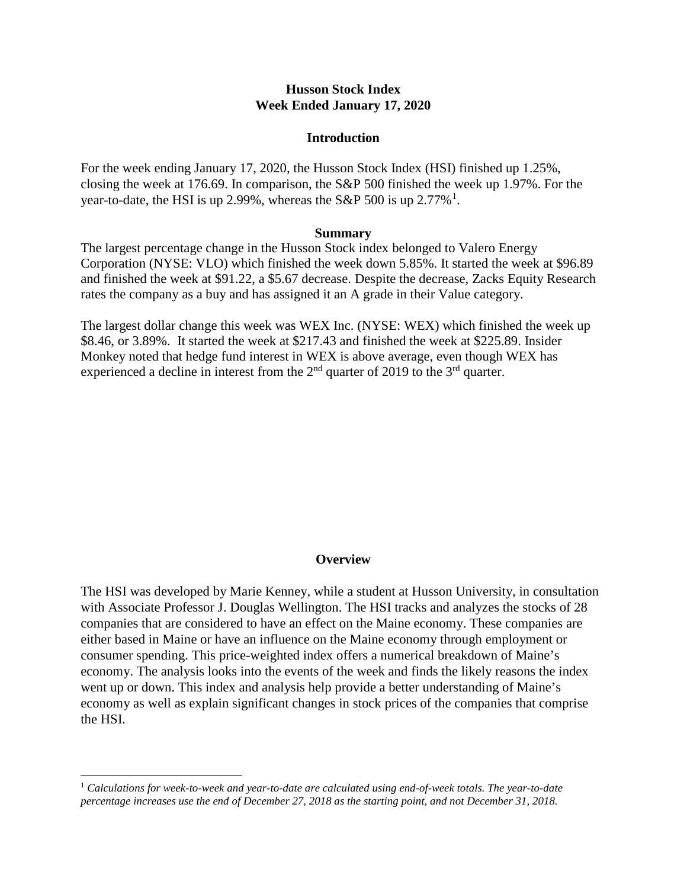## **Husson Stock Index Week Ended January 17, 2020**

#### **Introduction**

For the week ending January 17, 2020, the Husson Stock Index (HSI) finished up 1.25%, closing the week at 176.69. In comparison, the S&P 500 finished the week up 1.97%. For the year-to-date, the HSI is up 2.99%, whereas the S&P 500 is up  $2.77\%$ <sup>[1](#page-0-0)</sup>.

#### **Summary**

The largest percentage change in the Husson Stock index belonged to Valero Energy Corporation (NYSE: VLO) which finished the week down 5.85%. It started the week at \$96.89 and finished the week at \$91.22, a \$5.67 decrease. Despite the decrease, Zacks Equity Research rates the company as a buy and has assigned it an A grade in their Value category.

The largest dollar change this week was WEX Inc. (NYSE: WEX) which finished the week up \$8.46, or 3.89%. It started the week at \$217.43 and finished the week at \$225.89. Insider Monkey noted that hedge fund interest in WEX is above average, even though WEX has experienced a decline in interest from the  $2<sup>nd</sup>$  quarter of 2019 to the  $3<sup>rd</sup>$  quarter.

## **Overview**

The HSI was developed by Marie Kenney, while a student at Husson University, in consultation with Associate Professor J. Douglas Wellington. The HSI tracks and analyzes the stocks of 28 companies that are considered to have an effect on the Maine economy. These companies are either based in Maine or have an influence on the Maine economy through employment or consumer spending. This price-weighted index offers a numerical breakdown of Maine's economy. The analysis looks into the events of the week and finds the likely reasons the index went up or down. This index and analysis help provide a better understanding of Maine's economy as well as explain significant changes in stock prices of the companies that comprise the HSI.

<span id="page-0-0"></span> <sup>1</sup> *Calculations for week-to-week and year-to-date are calculated using end-of-week totals. The year-to-date percentage increases use the end of December 27, 2018 as the starting point, and not December 31, 2018.*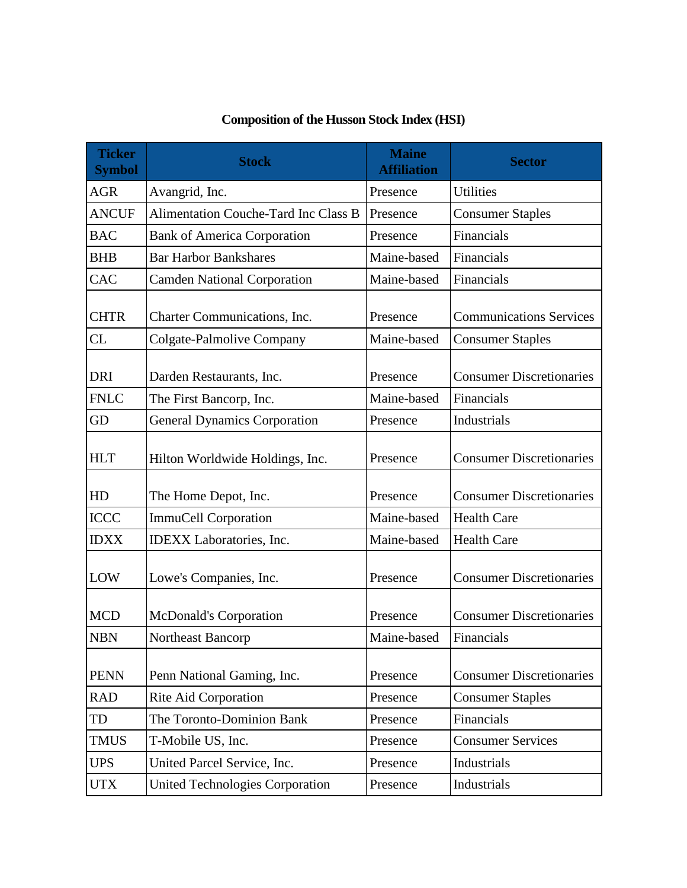| <b>Ticker</b><br><b>Symbol</b> | <b>Stock</b>                                | <b>Maine</b><br><b>Affiliation</b> | <b>Sector</b>                   |
|--------------------------------|---------------------------------------------|------------------------------------|---------------------------------|
| <b>AGR</b>                     | Avangrid, Inc.                              | Presence                           | <b>Utilities</b>                |
| <b>ANCUF</b>                   | <b>Alimentation Couche-Tard Inc Class B</b> | Presence                           | <b>Consumer Staples</b>         |
| <b>BAC</b>                     | <b>Bank of America Corporation</b>          | Presence                           | Financials                      |
| <b>BHB</b>                     | <b>Bar Harbor Bankshares</b>                | Maine-based                        | Financials                      |
| <b>CAC</b>                     | <b>Camden National Corporation</b>          | Maine-based                        | Financials                      |
| <b>CHTR</b>                    | Charter Communications, Inc.                | Presence                           | <b>Communications Services</b>  |
| CL                             | Colgate-Palmolive Company                   | Maine-based                        | <b>Consumer Staples</b>         |
| <b>DRI</b>                     | Darden Restaurants, Inc.                    | Presence                           | <b>Consumer Discretionaries</b> |
| <b>FNLC</b>                    | The First Bancorp, Inc.                     | Maine-based                        | Financials                      |
| <b>GD</b>                      | <b>General Dynamics Corporation</b>         | Presence                           | Industrials                     |
| <b>HLT</b>                     | Hilton Worldwide Holdings, Inc.             | Presence                           | <b>Consumer Discretionaries</b> |
| HD                             | The Home Depot, Inc.                        | Presence                           | <b>Consumer Discretionaries</b> |
| <b>ICCC</b>                    | <b>ImmuCell Corporation</b>                 | Maine-based                        | <b>Health Care</b>              |
| <b>IDXX</b>                    | IDEXX Laboratories, Inc.                    | Maine-based                        | <b>Health Care</b>              |
| LOW                            | Lowe's Companies, Inc.                      | Presence                           | <b>Consumer Discretionaries</b> |
| <b>MCD</b>                     | <b>McDonald's Corporation</b>               | Presence                           | <b>Consumer Discretionaries</b> |
| <b>NBN</b>                     | Northeast Bancorp                           | Maine-based                        | Financials                      |
| <b>PENN</b>                    | Penn National Gaming, Inc.                  | Presence                           | <b>Consumer Discretionaries</b> |
| <b>RAD</b>                     | Rite Aid Corporation                        | Presence                           | <b>Consumer Staples</b>         |
| TD                             | The Toronto-Dominion Bank                   | Presence                           | Financials                      |
| <b>TMUS</b>                    | T-Mobile US, Inc.                           | Presence                           | <b>Consumer Services</b>        |
| <b>UPS</b>                     | United Parcel Service, Inc.                 | Presence                           | Industrials                     |
| <b>UTX</b>                     | <b>United Technologies Corporation</b>      | Presence                           | Industrials                     |

# **Composition of the Husson Stock Index (HSI)**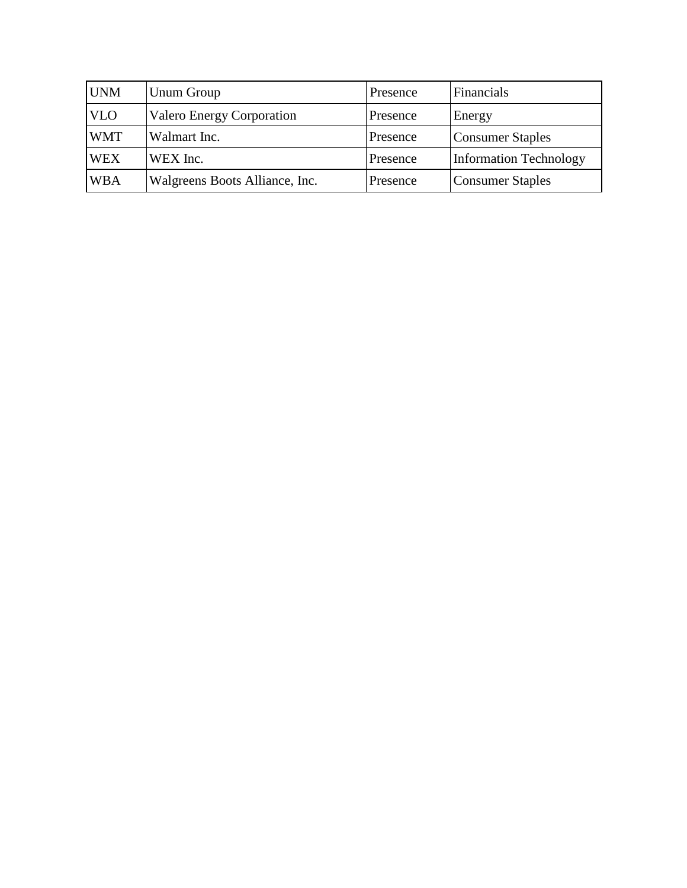| <b>UNM</b> | <b>Unum Group</b>                | Presence | Financials              |
|------------|----------------------------------|----------|-------------------------|
| <b>VLO</b> | <b>Valero Energy Corporation</b> | Presence | Energy                  |
| <b>WMT</b> | Walmart Inc.                     | Presence | <b>Consumer Staples</b> |
| <b>WEX</b> | WEX Inc.                         | Presence | Information Technology  |
| <b>WBA</b> | Walgreens Boots Alliance, Inc.   | Presence | <b>Consumer Staples</b> |